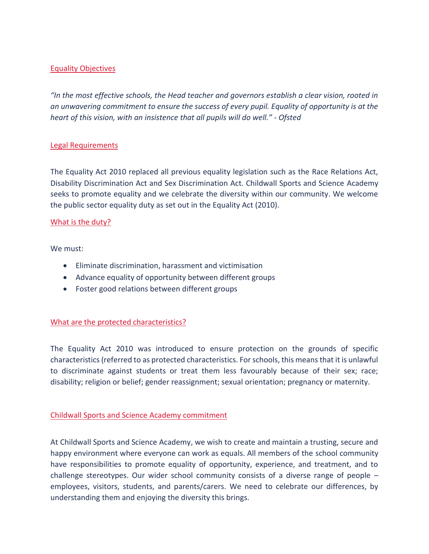## Equality Objectives

*"In the most effective schools, the Head teacher and governors establish a clear vision, rooted in an unwavering commitment to ensure the success of every pupil. Equality of opportunity is at the heart of this vision, with an insistence that all pupils will do well." - Ofsted*

### Legal Requirements

The Equality Act 2010 replaced all previous equality legislation such as the Race Relations Act, Disability Discrimination Act and Sex Discrimination Act. Childwall Sports and Science Academy seeks to promote equality and we celebrate the diversity within our community. We welcome the public sector equality duty as set out in the Equality Act (2010).

#### What is the duty?

We must:

- Eliminate discrimination, harassment and victimisation
- Advance equality of opportunity between different groups
- Foster good relations between different groups

### What are the protected characteristics?

The Equality Act 2010 was introduced to ensure protection on the grounds of specific characteristics (referred to as protected characteristics. For schools, this means that it is unlawful to discriminate against students or treat them less favourably because of their sex; race; disability; religion or belief; gender reassignment; sexual orientation; pregnancy or maternity.

### Childwall Sports and Science Academy commitment

At Childwall Sports and Science Academy, we wish to create and maintain a trusting, secure and happy environment where everyone can work as equals. All members of the school community have responsibilities to promote equality of opportunity, experience, and treatment, and to challenge stereotypes. Our wider school community consists of a diverse range of people – employees, visitors, students, and parents/carers. We need to celebrate our differences, by understanding them and enjoying the diversity this brings.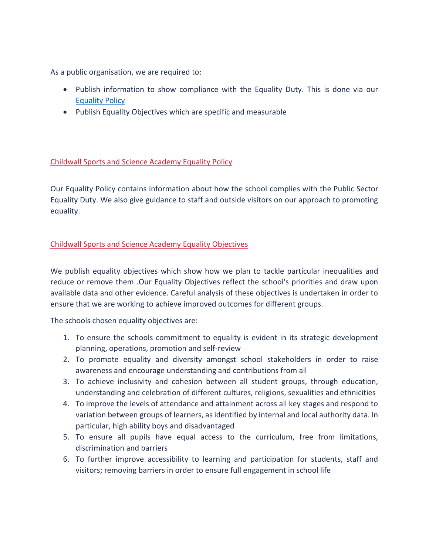As a public organisation, we are required to:

- Publish information to show compliance with the Equality Duty. This is done via our **[Equality Policy](https://ebhigh.org.uk/docs/Policies/Equality_Policy.pdf)**
- Publish Equality Objectives which are specific and measurable

# Childwall Sports and Science Academy Equality Policy

Our Equality Policy contains information about how the school complies with the Public Sector Equality Duty. We also give guidance to staff and outside visitors on our approach to promoting equality.

# Childwall Sports and Science Academy Equality Objectives

We publish equality objectives which show how we plan to tackle particular inequalities and reduce or remove them .Our Equality Objectives reflect the school's priorities and draw upon available data and other evidence. Careful analysis of these objectives is undertaken in order to ensure that we are working to achieve improved outcomes for different groups.

The schools chosen equality objectives are:

- 1. To ensure the schools commitment to equality is evident in its strategic development planning, operations, promotion and self-review
- 2. To promote equality and diversity amongst school stakeholders in order to raise awareness and encourage understanding and contributions from all
- 3. To achieve inclusivity and cohesion between all student groups, through education, understanding and celebration of different cultures, religions, sexualities and ethnicities
- 4. To improve the levels of attendance and attainment across all key stages and respond to variation between groups of learners, as identified by internal and local authority data. In particular, high ability boys and disadvantaged
- 5. To ensure all pupils have equal access to the curriculum, free from limitations, discrimination and barriers
- 6. To further improve accessibility to learning and participation for students, staff and visitors; removing barriers in order to ensure full engagement in school life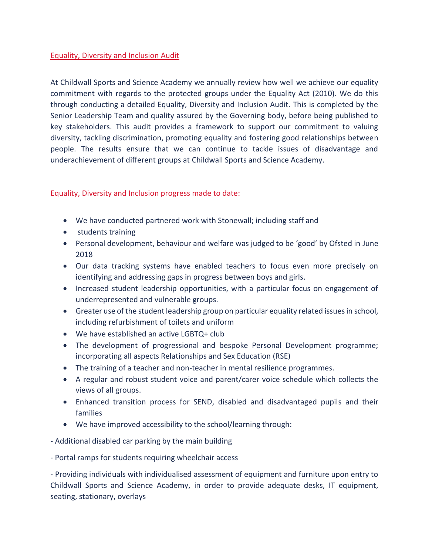## Equality, Diversity and Inclusion Audit

At Childwall Sports and Science Academy we annually review how well we achieve our equality commitment with regards to the protected groups under the Equality Act (2010). We do this through conducting a detailed Equality, Diversity and Inclusion Audit. This is completed by the Senior Leadership Team and quality assured by the Governing body, before being published to key stakeholders. This audit provides a framework to support our commitment to valuing diversity, tackling discrimination, promoting equality and fostering good relationships between people. The results ensure that we can continue to tackle issues of disadvantage and underachievement of different groups at Childwall Sports and Science Academy.

### Equality, Diversity and Inclusion progress made to date:

- We have conducted partnered work with Stonewall; including staff and
- students training
- Personal development, behaviour and welfare was judged to be 'good' by Ofsted in June 2018
- Our data tracking systems have enabled teachers to focus even more precisely on identifying and addressing gaps in progress between boys and girls.
- Increased student leadership opportunities, with a particular focus on engagement of underrepresented and vulnerable groups.
- Greater use of the student leadership group on particular equality related issues in school, including refurbishment of toilets and uniform
- We have established an active LGBTQ+ club
- The development of progressional and bespoke Personal Development programme; incorporating all aspects Relationships and Sex Education (RSE)
- The training of a teacher and non-teacher in mental resilience programmes.
- A regular and robust student voice and parent/carer voice schedule which collects the views of all groups.
- Enhanced transition process for SEND, disabled and disadvantaged pupils and their families
- We have improved accessibility to the school/learning through:

- Additional disabled car parking by the main building

- Portal ramps for students requiring wheelchair access

- Providing individuals with individualised assessment of equipment and furniture upon entry to Childwall Sports and Science Academy, in order to provide adequate desks, IT equipment, seating, stationary, overlays